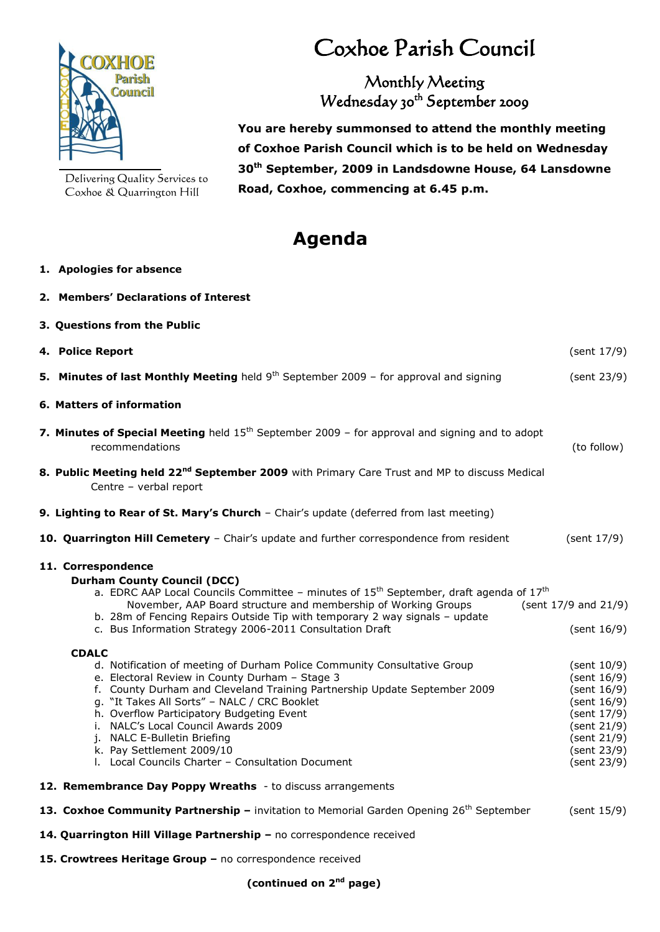

Delivering Quality Services to Coxhoe & Quarrington Hill

**2. Members' Declarations of Interest**

## Coxhoe Parish Council

Monthly Meeting Wednesday 30<sup>th</sup> September 2009

 **You are hereby summonsed to attend the monthly meeting of Coxhoe Parish Council which is to be held on Wednesday 30th September, 2009 in Landsdowne House, 64 Lansdowne Road, Coxhoe, commencing at 6.45 p.m.**

## **Agenda**

## **1. Apologies for absence**

| 3. Questions from the Public                                                                                                                                                                                                                                                                                                                                                                                                                                                 |                                                                                                                                     |  |
|------------------------------------------------------------------------------------------------------------------------------------------------------------------------------------------------------------------------------------------------------------------------------------------------------------------------------------------------------------------------------------------------------------------------------------------------------------------------------|-------------------------------------------------------------------------------------------------------------------------------------|--|
| 4. Police Report                                                                                                                                                                                                                                                                                                                                                                                                                                                             | (sent 17/9)                                                                                                                         |  |
| 5. Minutes of last Monthly Meeting held $9th$ September 2009 – for approval and signing                                                                                                                                                                                                                                                                                                                                                                                      | (sent 23/9)                                                                                                                         |  |
| 6. Matters of information                                                                                                                                                                                                                                                                                                                                                                                                                                                    |                                                                                                                                     |  |
| 7. Minutes of Special Meeting held 15 <sup>th</sup> September 2009 - for approval and signing and to adopt<br>recommendations                                                                                                                                                                                                                                                                                                                                                | (to follow)                                                                                                                         |  |
| 8. Public Meeting held 22 <sup>nd</sup> September 2009 with Primary Care Trust and MP to discuss Medical<br>Centre - verbal report                                                                                                                                                                                                                                                                                                                                           |                                                                                                                                     |  |
| 9. Lighting to Rear of St. Mary's Church - Chair's update (deferred from last meeting)                                                                                                                                                                                                                                                                                                                                                                                       |                                                                                                                                     |  |
| 10. Quarrington Hill Cemetery - Chair's update and further correspondence from resident                                                                                                                                                                                                                                                                                                                                                                                      | (sent 17/9)                                                                                                                         |  |
| 11. Correspondence<br><b>Durham County Council (DCC)</b><br>a. EDRC AAP Local Councils Committee - minutes of $15^{th}$ September, draft agenda of $17^{th}$<br>November, AAP Board structure and membership of Working Groups<br>b. 28m of Fencing Repairs Outside Tip with temporary 2 way signals - update<br>c. Bus Information Strategy 2006-2011 Consultation Draft                                                                                                    | (sent 17/9 and 21/9)<br>(sent 16/9)                                                                                                 |  |
| <b>CDALC</b><br>d. Notification of meeting of Durham Police Community Consultative Group<br>e. Electoral Review in County Durham - Stage 3<br>f. County Durham and Cleveland Training Partnership Update September 2009<br>g. "It Takes All Sorts" - NALC / CRC Booklet<br>h. Overflow Participatory Budgeting Event<br>i. NALC's Local Council Awards 2009<br>j. NALC E-Bulletin Briefing<br>k. Pay Settlement 2009/10<br>I. Local Councils Charter - Consultation Document | (sent 10/9)<br>(sent 16/9)<br>(sent 16/9)<br>(sent 16/9)<br>(sent 17/9)<br>(sent 21/9)<br>(sent 21/9)<br>(sent 23/9)<br>(sent 23/9) |  |
| 12. Remembrance Day Poppy Wreaths - to discuss arrangements                                                                                                                                                                                                                                                                                                                                                                                                                  |                                                                                                                                     |  |
| 13. Coxhoe Community Partnership - invitation to Memorial Garden Opening 26 <sup>th</sup> September                                                                                                                                                                                                                                                                                                                                                                          | (sent 15/9)                                                                                                                         |  |
| 14. Quarrington Hill Village Partnership - no correspondence received                                                                                                                                                                                                                                                                                                                                                                                                        |                                                                                                                                     |  |
| 15. Crowtrees Heritage Group - no correspondence received                                                                                                                                                                                                                                                                                                                                                                                                                    |                                                                                                                                     |  |